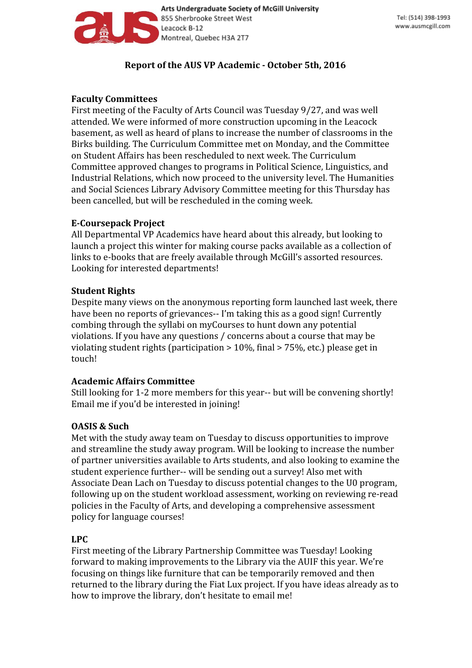

Arts Undergraduate Society of McGill University 855 Sherbrooke Street West Leacock B-12 Montreal, Quebec H3A 2T7

# **Report of the AUS VP Academic - October 5th, 2016**

# **Faculty Committees**

First meeting of the Faculty of Arts Council was Tuesday 9/27, and was well attended. We were informed of more construction upcoming in the Leacock basement, as well as heard of plans to increase the number of classrooms in the Birks building. The Curriculum Committee met on Monday, and the Committee on Student Affairs has been rescheduled to next week. The Curriculum Committee approved changes to programs in Political Science, Linguistics, and Industrial Relations, which now proceed to the university level. The Humanities and Social Sciences Library Advisory Committee meeting for this Thursday has been cancelled, but will be rescheduled in the coming week.

## **E-Coursepack Project**

All Departmental VP Academics have heard about this already, but looking to launch a project this winter for making course packs available as a collection of links to e-books that are freely available through McGill's assorted resources. Looking for interested departments!

## **Student Rights**

Despite many views on the anonymous reporting form launched last week, there have been no reports of grievances-- I'm taking this as a good sign! Currently combing through the syllabi on myCourses to hunt down any potential violations. If you have any questions / concerns about a course that may be violating student rights (participation > 10%, final > 75%, etc.) please get in touch!

### **Academic Affairs Committee**

Still looking for 1-2 more members for this year-- but will be convening shortly! Email me if you'd be interested in joining!

# **OASIS & Such**

Met with the study away team on Tuesday to discuss opportunities to improve and streamline the study away program. Will be looking to increase the number of partner universities available to Arts students, and also looking to examine the student experience further-- will be sending out a survey! Also met with Associate Dean Lach on Tuesday to discuss potential changes to the U0 program, following up on the student workload assessment, working on reviewing re-read policies in the Faculty of Arts, and developing a comprehensive assessment policy for language courses!

# **LPC**

First meeting of the Library Partnership Committee was Tuesday! Looking forward to making improvements to the Library via the AUIF this year. We're focusing on things like furniture that can be temporarily removed and then returned to the library during the Fiat Lux project. If you have ideas already as to how to improve the library, don't hesitate to email me!